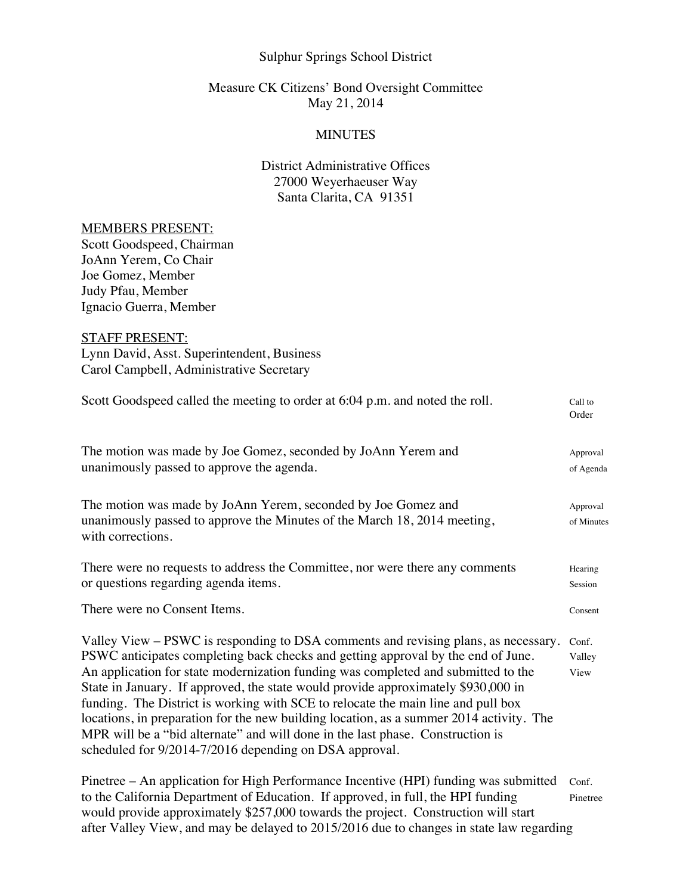### Sulphur Springs School District

## Measure CK Citizens' Bond Oversight Committee May 21, 2014

## **MINUTES**

# District Administrative Offices 27000 Weyerhaeuser Way Santa Clarita, CA 91351

### MEMBERS PRESENT:

Scott Goodspeed, Chairman JoAnn Yerem, Co Chair Joe Gomez, Member Judy Pfau, Member Ignacio Guerra, Member

### STAFF PRESENT:

Lynn David, Asst. Superintendent, Business Carol Campbell, Administrative Secretary

| Scott Goodspeed called the meeting to order at 6:04 p.m. and noted the roll.                                                                                                                                                                                                                                                                                                                                                                                                                                                                                                                                                                                                | Call to<br>Order        |
|-----------------------------------------------------------------------------------------------------------------------------------------------------------------------------------------------------------------------------------------------------------------------------------------------------------------------------------------------------------------------------------------------------------------------------------------------------------------------------------------------------------------------------------------------------------------------------------------------------------------------------------------------------------------------------|-------------------------|
| The motion was made by Joe Gomez, seconded by JoAnn Yerem and<br>unanimously passed to approve the agenda.                                                                                                                                                                                                                                                                                                                                                                                                                                                                                                                                                                  | Approval<br>of Agenda   |
| The motion was made by JoAnn Yerem, seconded by Joe Gomez and<br>unanimously passed to approve the Minutes of the March 18, 2014 meeting,<br>with corrections.                                                                                                                                                                                                                                                                                                                                                                                                                                                                                                              | Approval<br>of Minutes  |
| There were no requests to address the Committee, nor were there any comments<br>or questions regarding agenda items.                                                                                                                                                                                                                                                                                                                                                                                                                                                                                                                                                        | Hearing<br>Session      |
| There were no Consent Items.                                                                                                                                                                                                                                                                                                                                                                                                                                                                                                                                                                                                                                                | Consent                 |
| Valley View – PSWC is responding to DSA comments and revising plans, as necessary.<br>PSWC anticipates completing back checks and getting approval by the end of June.<br>An application for state modernization funding was completed and submitted to the<br>State in January. If approved, the state would provide approximately \$930,000 in<br>funding. The District is working with SCE to relocate the main line and pull box<br>locations, in preparation for the new building location, as a summer 2014 activity. The<br>MPR will be a "bid alternate" and will done in the last phase. Construction is<br>scheduled for 9/2014-7/2016 depending on DSA approval. | Conf.<br>Valley<br>View |
|                                                                                                                                                                                                                                                                                                                                                                                                                                                                                                                                                                                                                                                                             |                         |

Pinetree – An application for High Performance Incentive (HPI) funding was submitted Conf. to the California Department of Education. If approved, in full, the HPI funding Pinetree would provide approximately \$257,000 towards the project. Construction will start after Valley View, and may be delayed to 2015/2016 due to changes in state law regarding